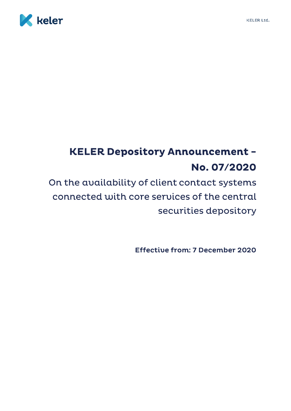

## **KELER Depository Announcement -**No. 07/2020

On the availability of client contact systems connected with core services of the central securities depository

Effective from: 7 December 2020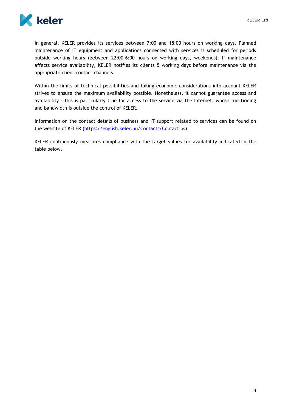

In general, KELER provides its services between 7:00 and 18:00 hours on working days. Planned maintenance of IT equipment and applications connected with services is scheduled for periods outside working hours (between 22:00-6:00 hours on working days, weekends). If maintenance affects service availability, KELER notifies its clients 5 working days before maintenance via the appropriate client contact channels.

Within the limits of technical possibilities and taking economic considerations into account KELER strives to ensure the maximum availability possible. Nonetheless, it cannot guarantee access and availability – this is particularly true for access to the service via the Internet, whose functioning and bandwidth is outside the control of KELER.

Information on the contact details of business and IT support related to services can be found on the website of KELER [\(https://english.keler.hu/Contacts/Contact us\)](https://english.keler.hu/Contacts/Contact%20us/).

KELER continuously measures compliance with the target values for availability indicated in the table below.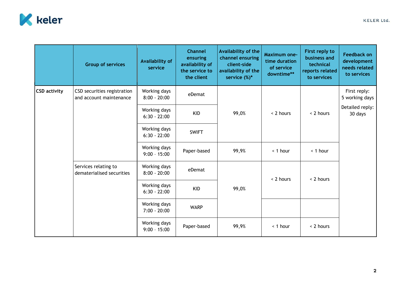

|                     | <b>Group of services</b>                               | Availability of<br>service     | <b>Channel</b><br>ensuring<br>availability of<br>the service to<br>the client | Availability of the<br>channel ensuring<br>client-side<br>availability of the<br>service $(\%)^*$ | <b>Maximum one-</b><br>time duration<br>of service<br>downtime** | First reply to<br>business and<br>technical<br>reports related<br>to services | <b>Feedback on</b><br>development<br>needs related<br>to services |
|---------------------|--------------------------------------------------------|--------------------------------|-------------------------------------------------------------------------------|---------------------------------------------------------------------------------------------------|------------------------------------------------------------------|-------------------------------------------------------------------------------|-------------------------------------------------------------------|
| <b>CSD activity</b> | CSD securities registration<br>and account maintenance | Working days<br>$8:00 - 20:00$ | eDemat                                                                        | 99,0%                                                                                             | < 2 hours                                                        | < 2 hours                                                                     | First reply:<br>5 working days                                    |
|                     |                                                        | Working days<br>$6:30 - 22:00$ | <b>KID</b>                                                                    |                                                                                                   |                                                                  |                                                                               | Detailed reply:<br>30 days                                        |
|                     |                                                        | Working days<br>$6:30 - 22:00$ | <b>SWIFT</b>                                                                  |                                                                                                   |                                                                  |                                                                               |                                                                   |
|                     |                                                        | Working days<br>$9:00 - 15:00$ | Paper-based                                                                   | 99,9%                                                                                             | $<$ 1 hour                                                       | $<$ 1 hour                                                                    |                                                                   |
|                     | Services relating to<br>dematerialised securities      | Working days<br>$8:00 - 20:00$ | eDemat                                                                        | 99,0%                                                                                             | < 2 hours                                                        | < 2 hours                                                                     |                                                                   |
|                     |                                                        | Working days<br>$6:30 - 22:00$ | <b>KID</b>                                                                    |                                                                                                   |                                                                  |                                                                               |                                                                   |
|                     |                                                        | Working days<br>$7:00 - 20:00$ | <b>WARP</b>                                                                   |                                                                                                   |                                                                  |                                                                               |                                                                   |
|                     |                                                        | Working days<br>$9:00 - 15:00$ | Paper-based                                                                   | 99,9%                                                                                             | < 1 hour                                                         | < 2 hours                                                                     |                                                                   |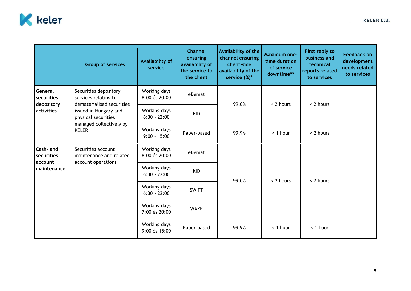

|                                                   | <b>Group of services</b>                                                                                                                                              | Availability of<br>service     | <b>Channel</b><br>ensuring<br>availability of<br>the service to<br>the client | Availability of the<br>channel ensuring<br>client-side<br>availability of the<br>service $(\%)^*$ | <b>Maximum one-</b><br>time duration<br>of service<br>downtime** | First reply to<br>business and<br>technical<br>reports related<br>to services | <b>Feedback on</b><br>development<br>needs related<br>to services |
|---------------------------------------------------|-----------------------------------------------------------------------------------------------------------------------------------------------------------------------|--------------------------------|-------------------------------------------------------------------------------|---------------------------------------------------------------------------------------------------|------------------------------------------------------------------|-------------------------------------------------------------------------------|-------------------------------------------------------------------|
| General<br>securities<br>depository<br>activities | Securities depository<br>services relating to<br>dematerialised securities<br>issued in Hungary and<br>physical securities<br>managed collectively by<br><b>KELER</b> | Working days<br>8:00 és 20:00  | eDemat                                                                        | 99,0%                                                                                             | < 2 hours                                                        | < 2 hours                                                                     |                                                                   |
|                                                   |                                                                                                                                                                       | Working days<br>$6:30 - 22:00$ | <b>KID</b>                                                                    |                                                                                                   |                                                                  |                                                                               |                                                                   |
|                                                   |                                                                                                                                                                       | Working days<br>$9:00 - 15:00$ | Paper-based                                                                   | 99,9%                                                                                             | < 1 hour                                                         | < 2 hours                                                                     |                                                                   |
| Cash- and<br>securities<br>account<br>maintenance | Securities account<br>maintenance and related<br>account operations                                                                                                   | Working days<br>8:00 és 20:00  | eDemat                                                                        | 99,0%                                                                                             | < 2 hours                                                        | < 2 hours                                                                     |                                                                   |
|                                                   |                                                                                                                                                                       | Working days<br>$6:30 - 22:00$ | <b>KID</b>                                                                    |                                                                                                   |                                                                  |                                                                               |                                                                   |
|                                                   |                                                                                                                                                                       | Working days<br>$6:30 - 22:00$ | <b>SWIFT</b>                                                                  |                                                                                                   |                                                                  |                                                                               |                                                                   |
|                                                   |                                                                                                                                                                       | Working days<br>7:00 és 20:00  | <b>WARP</b>                                                                   |                                                                                                   |                                                                  |                                                                               |                                                                   |
|                                                   |                                                                                                                                                                       | Working days<br>9:00 és 15:00  | Paper-based                                                                   | 99,9%                                                                                             | < 1 hour                                                         | < 1 hour                                                                      |                                                                   |